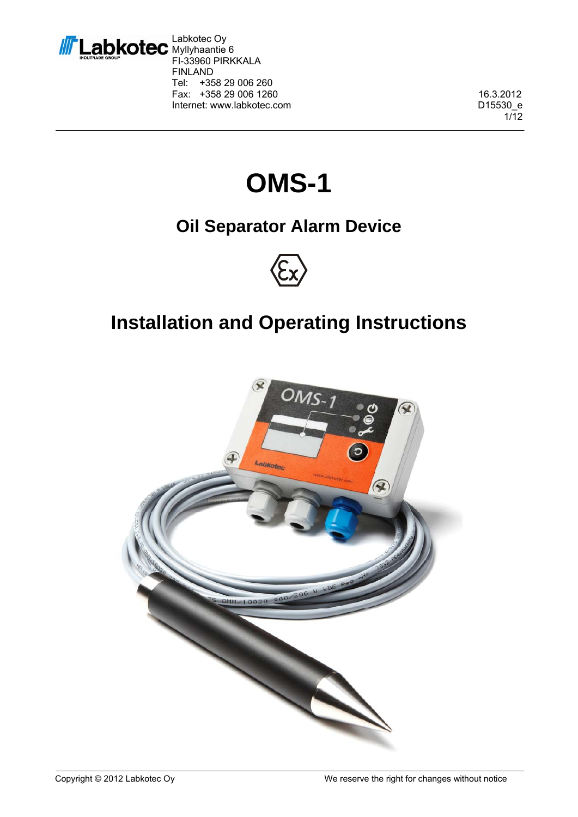

Labkotec Oy Myllyhaantie 6 FI-33960 PIRKKALA FINLAND Tel: +358 29 006 260 Fax: +358 29 006 1260 16.3.2012 Internet: www.labkotec.com D15530\_e

1/12

# **OMS-1**

### **Oil Separator Alarm Device**



## **Installation and Operating Instructions**

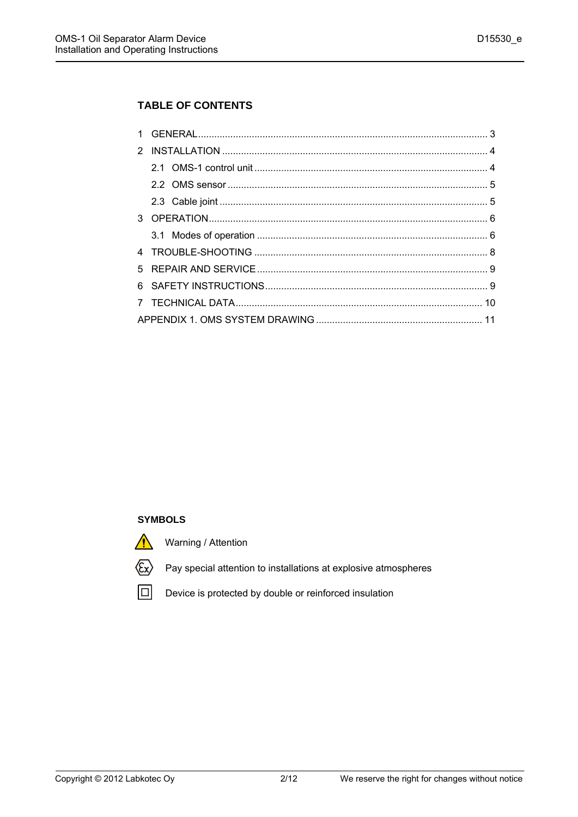#### **TABLE OF CONTENTS**

#### **SYMBOLS**

Warning / Attention



Pay special attention to installations at explosive atmospheres

回

Device is protected by double or reinforced insulation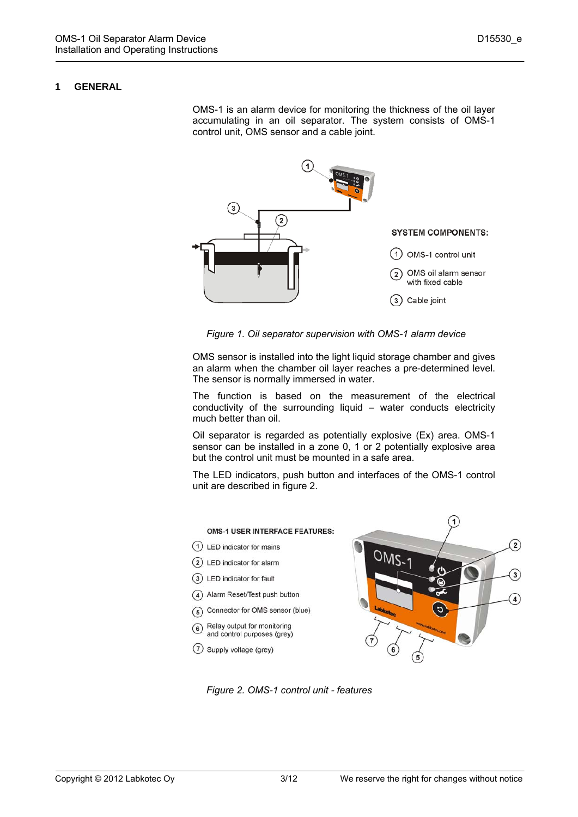#### **1 GENERAL**

OMS-1 is an alarm device for monitoring the thickness of the oil layer accumulating in an oil separator. The system consists of OMS-1 control unit, OMS sensor and a cable joint.



*Figure 1. Oil separator supervision with OMS-1 alarm device* 

OMS sensor is installed into the light liquid storage chamber and gives an alarm when the chamber oil layer reaches a pre-determined level. The sensor is normally immersed in water.

The function is based on the measurement of the electrical conductivity of the surrounding liquid – water conducts electricity much better than oil.

Oil separator is regarded as potentially explosive (Ex) area. OMS-1 sensor can be installed in a zone 0, 1 or 2 potentially explosive area but the control unit must be mounted in a safe area.

The LED indicators, push button and interfaces of the OMS-1 control unit are described in figure 2.



*Figure 2. OMS-1 control unit - features*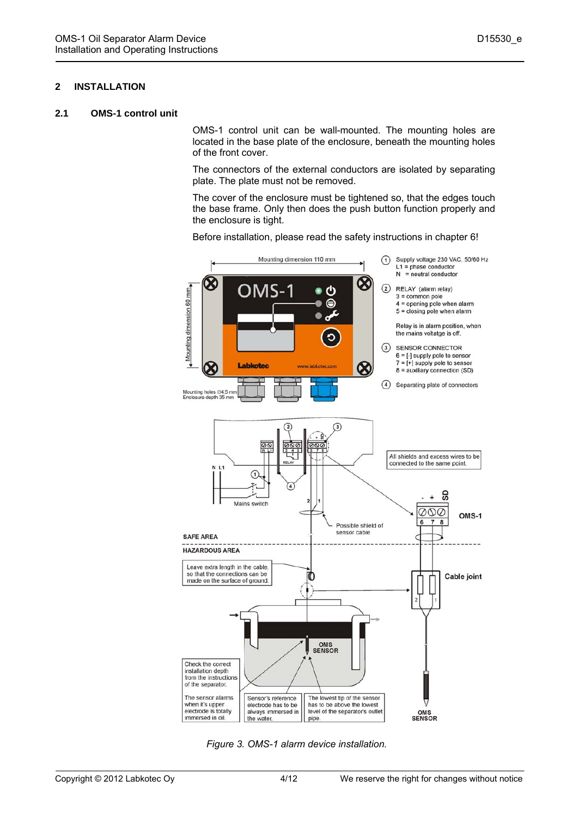#### **2 INSTALLATION**

#### **2.1 OMS-1 control unit**

OMS-1 control unit can be wall-mounted. The mounting holes are located in the base plate of the enclosure, beneath the mounting holes of the front cover.

The connectors of the external conductors are isolated by separating plate. The plate must not be removed.

The cover of the enclosure must be tightened so, that the edges touch the base frame. Only then does the push button function properly and the enclosure is tight.

Before installation, please read the safety instructions in chapter 6!



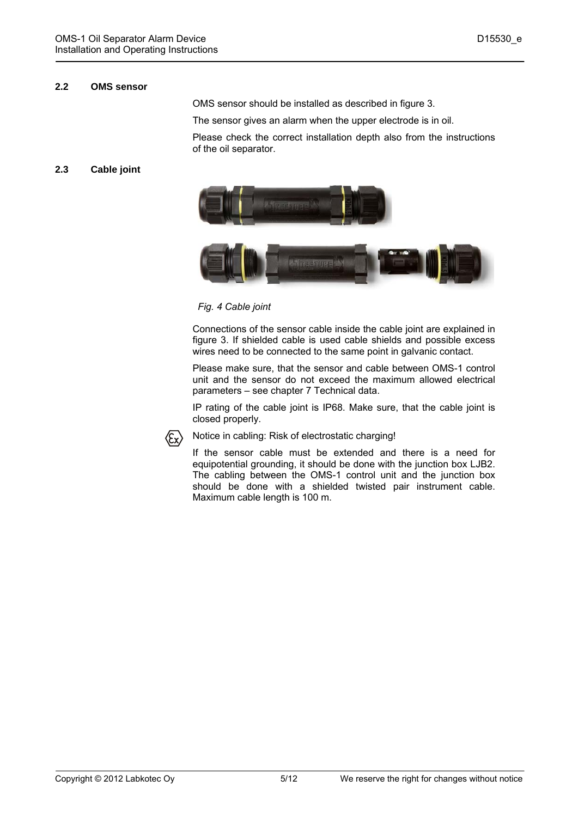#### **2.2 OMS sensor**

OMS sensor should be installed as described in figure 3.

The sensor gives an alarm when the upper electrode is in oil.

Please check the correct installation depth also from the instructions of the oil separator.

#### **2.3 Cable joint**



*Fig. 4 Cable joint* 

Connections of the sensor cable inside the cable joint are explained in figure 3. If shielded cable is used cable shields and possible excess wires need to be connected to the same point in galvanic contact.

Please make sure, that the sensor and cable between OMS-1 control unit and the sensor do not exceed the maximum allowed electrical parameters – see chapter 7 Technical data.

IP rating of the cable joint is IP68. Make sure, that the cable joint is closed properly.



Notice in cabling: Risk of electrostatic charging!

If the sensor cable must be extended and there is a need for equipotential grounding, it should be done with the junction box LJB2. The cabling between the OMS-1 control unit and the junction box should be done with a shielded twisted pair instrument cable. Maximum cable length is 100 m.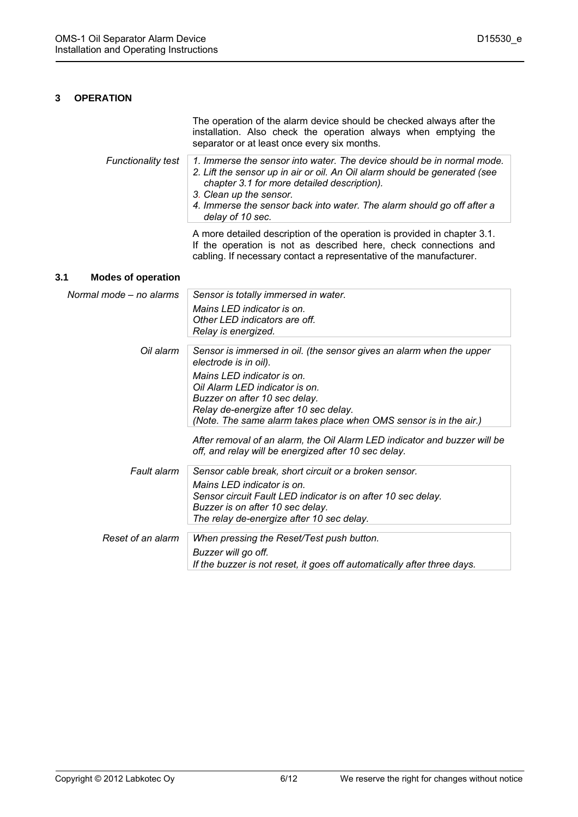#### **3 OPERATION**

|                           | The operation of the alarm device should be checked always after the<br>installation. Also check the operation always when emptying the<br>separator or at least once every six months.                                        |
|---------------------------|--------------------------------------------------------------------------------------------------------------------------------------------------------------------------------------------------------------------------------|
| <b>Functionality test</b> | 1. Immerse the sensor into water. The device should be in normal mode.<br>2. Lift the sensor up in air or oil. An Oil alarm should be generated (see<br>chapter 3.1 for more detailed description).<br>3. Clean up the sensor. |
|                           | 4. Immerse the sensor back into water. The alarm should go off after a<br>delay of 10 sec.                                                                                                                                     |
|                           | A more detailed description of the operation is provided in chapter 3.1.<br>If the operation is not as described here, check connections and<br>cabling. If necessary contact a representative of the manufacturer.            |

#### **3.1 Modes of operation**

| Normal mode – no alarms | Sensor is totally immersed in water.                                                                                                                                                                        |
|-------------------------|-------------------------------------------------------------------------------------------------------------------------------------------------------------------------------------------------------------|
|                         | Mains LED indicator is on.<br>Other LED indicators are off.<br>Relay is energized.                                                                                                                          |
| Oil alarm               | Sensor is immersed in oil. (the sensor gives an alarm when the upper<br>electrode is in oil).                                                                                                               |
|                         | Mains LED indicator is on.<br>Oil Alarm LED indicator is on.<br>Buzzer on after 10 sec delay.<br>Relay de-energize after 10 sec delay.<br>(Note. The same alarm takes place when OMS sensor is in the air.) |
|                         | After removal of an alarm, the Oil Alarm LED indicator and buzzer will be<br>off, and relay will be energized after 10 sec delay.                                                                           |
| Fault alarm             | Sensor cable break, short circuit or a broken sensor.                                                                                                                                                       |
|                         | Mains LED indicator is on.<br>Sensor circuit Fault LED indicator is on after 10 sec delay.<br>Buzzer is on after 10 sec delay.<br>The relay de-energize after 10 sec delay.                                 |
| Reset of an alarm       | When pressing the Reset/Test push button.                                                                                                                                                                   |
|                         | Buzzer will go off.                                                                                                                                                                                         |
|                         | If the buzzer is not reset, it goes off automatically after three days.                                                                                                                                     |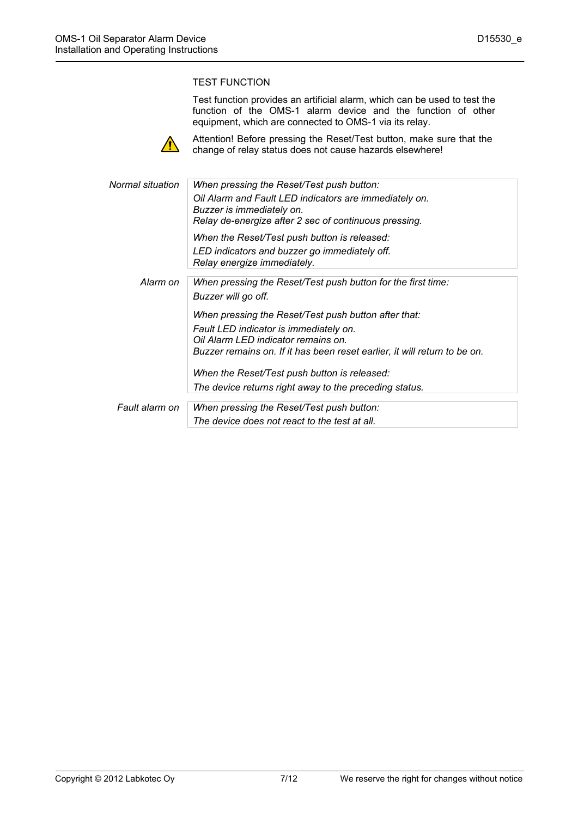#### TEST FUNCTION

Test function provides an artificial alarm, which can be used to test the function of the OMS-1 alarm device and the function of other equipment, which are connected to OMS-1 via its relay.



Attention! Before pressing the Reset/Test button, make sure that the change of relay status does not cause hazards elsewhere!

| Normal situation | When pressing the Reset/Test push button:                                 |
|------------------|---------------------------------------------------------------------------|
|                  | Oil Alarm and Fault LED indicators are immediately on.                    |
|                  | Buzzer is immediately on.                                                 |
|                  | Relay de-energize after 2 sec of continuous pressing.                     |
|                  | When the Reset/Test push button is released:                              |
|                  | LED indicators and buzzer go immediately off.                             |
|                  | Relay energize immediately.                                               |
| Alarm on         |                                                                           |
|                  | When pressing the Reset/Test push button for the first time:              |
|                  | Buzzer will go off.                                                       |
|                  | When pressing the Reset/Test push button after that:                      |
|                  | Fault LED indicator is immediately on.                                    |
|                  | Oil Alarm LED indicator remains on.                                       |
|                  | Buzzer remains on. If it has been reset earlier, it will return to be on. |
|                  | When the Reset/Test push button is released:                              |
|                  | The device returns right away to the preceding status.                    |
|                  |                                                                           |
| Fault alarm on   | When pressing the Reset/Test push button:                                 |
|                  | The device does not react to the test at all.                             |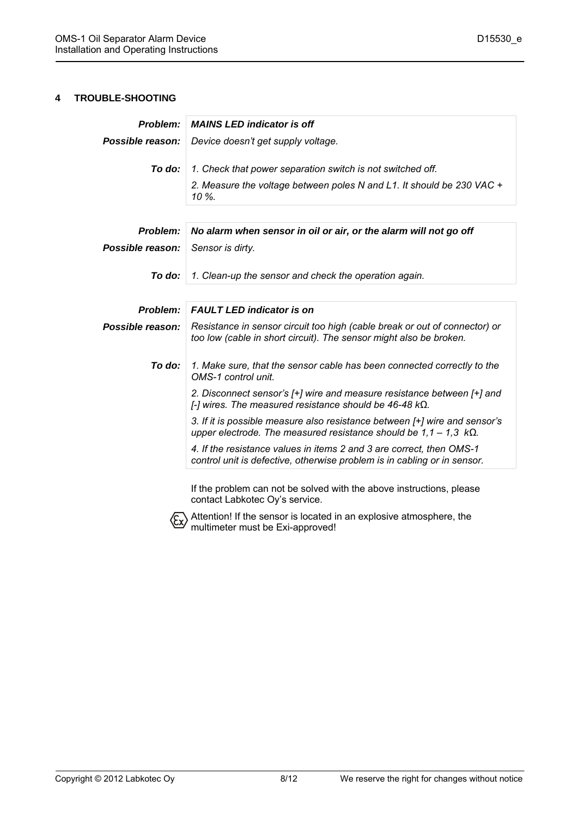#### **4 TROUBLE-SHOOTING**

| Problem:         | <b>MAINS LED indicator is off</b>                                                                                                                              |  |  |  |
|------------------|----------------------------------------------------------------------------------------------------------------------------------------------------------------|--|--|--|
| Possible reason: | Device doesn't get supply voltage.                                                                                                                             |  |  |  |
| To do:           | 1. Check that power separation switch is not switched off.                                                                                                     |  |  |  |
|                  | 2. Measure the voltage between poles N and L1. It should be 230 VAC +<br>10 %.                                                                                 |  |  |  |
|                  |                                                                                                                                                                |  |  |  |
| Problem:         | No alarm when sensor in oil or air, or the alarm will not go off                                                                                               |  |  |  |
| Possible reason: | Sensor is dirty.                                                                                                                                               |  |  |  |
| To do:           | 1. Clean-up the sensor and check the operation again.                                                                                                          |  |  |  |
|                  |                                                                                                                                                                |  |  |  |
| Problem:         | <b>FAULT LED indicator is on</b>                                                                                                                               |  |  |  |
| Possible reason: | Resistance in sensor circuit too high (cable break or out of connector) or<br>too low (cable in short circuit). The sensor might also be broken.               |  |  |  |
| To do:           | 1. Make sure, that the sensor cable has been connected correctly to the<br>OMS-1 control unit.                                                                 |  |  |  |
|                  | 2. Disconnect sensor's [+] wire and measure resistance between [+] and<br>[-] wires. The measured resistance should be 46-48 $k\Omega$ .                       |  |  |  |
|                  | 3. If it is possible measure also resistance between [+] wire and sensor's<br>upper electrode. The measured resistance should be $1,1 - 1,3 \text{ k}\Omega$ . |  |  |  |
|                  | 4. If the resistance values in items 2 and 3 are correct, then OMS-1<br>control unit is defective, otherwise problem is in cabling or in sensor.               |  |  |  |
|                  | If the problem can not be solved with the above instructions, please<br>contact Labkotec Oy's service.                                                         |  |  |  |



Attention! If the sensor is located in an explosive atmosphere, the multimeter must be Exi-approved!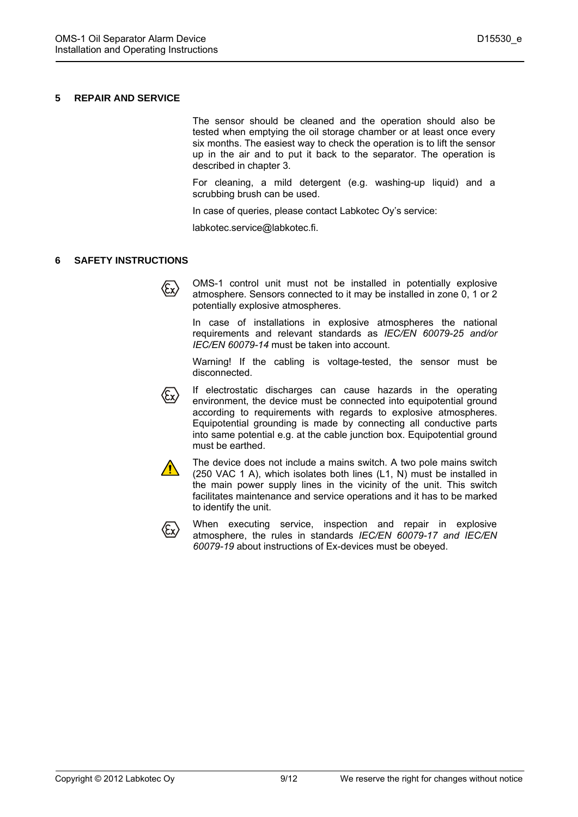#### **5 REPAIR AND SERVICE**

The sensor should be cleaned and the operation should also be tested when emptying the oil storage chamber or at least once every six months. The easiest way to check the operation is to lift the sensor up in the air and to put it back to the separator. The operation is described in chapter 3.

For cleaning, a mild detergent (e.g. washing-up liquid) and a scrubbing brush can be used.

In case of queries, please contact Labkotec Oy's service:

labkotec.service@labkotec.fi.

#### **6 SAFETY INSTRUCTIONS**

OMS-1 control unit must not be installed in potentially explosive atmosphere. Sensors connected to it may be installed in zone 0, 1 or 2 potentially explosive atmospheres.

In case of installations in explosive atmospheres the national requirements and relevant standards as *IEC/EN 60079-25 and/or IEC/EN 60079-14* must be taken into account.

Warning! If the cabling is voltage-tested, the sensor must be disconnected.



If electrostatic discharges can cause hazards in the operating environment, the device must be connected into equipotential ground according to requirements with regards to explosive atmospheres. Equipotential grounding is made by connecting all conductive parts into same potential e.g. at the cable junction box. Equipotential ground must be earthed.



The device does not include a mains switch. A two pole mains switch (250 VAC 1 A), which isolates both lines (L1, N) must be installed in the main power supply lines in the vicinity of the unit. This switch facilitates maintenance and service operations and it has to be marked to identify the unit.



When executing service, inspection and repair in explosive atmosphere, the rules in standards *IEC/EN 60079-17 and IEC/EN 60079-19* about instructions of Ex-devices must be obeyed.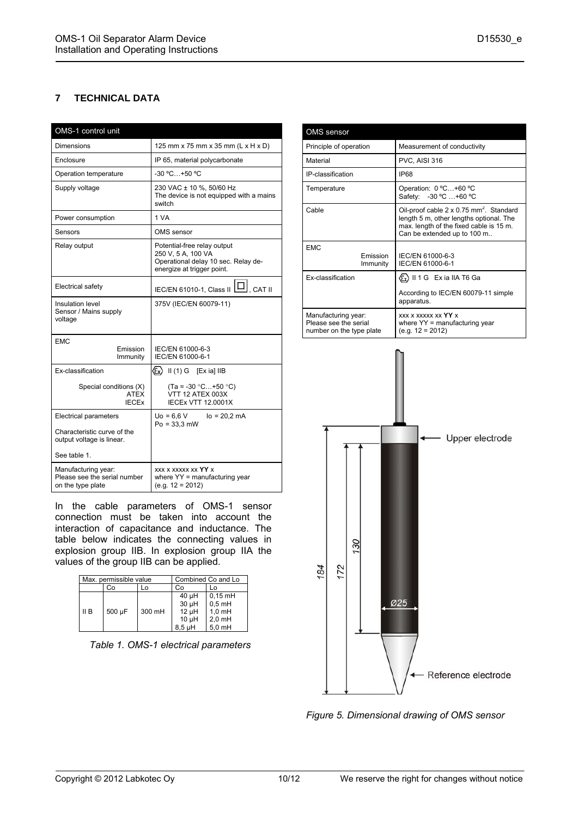#### **7 TECHNICAL DATA**

| OMS-1 control unit                                                       |                                                                                                                        |  |  |
|--------------------------------------------------------------------------|------------------------------------------------------------------------------------------------------------------------|--|--|
| Dimensions                                                               | 125 mm x 75 mm x 35 mm (L x H x D)                                                                                     |  |  |
| Enclosure                                                                | IP 65, material polycarbonate                                                                                          |  |  |
| Operation temperature                                                    | $-30 °C+50 °C$                                                                                                         |  |  |
| Supply voltage                                                           | 230 VAC ± 10 %, 50/60 Hz<br>The device is not equipped with a mains<br>switch                                          |  |  |
| Power consumption                                                        | 1 VA                                                                                                                   |  |  |
| Sensors                                                                  | OMS sensor                                                                                                             |  |  |
| Relay output                                                             | Potential-free relay output<br>250 V, 5 A, 100 VA<br>Operational delay 10 sec. Relay de-<br>energize at trigger point. |  |  |
| <b>Electrical safety</b>                                                 | IEC/EN 61010-1, Class II   U  CAT II                                                                                   |  |  |
| Insulation level<br>Sensor / Mains supply<br>voltage                     | 375V (IEC/EN 60079-11)                                                                                                 |  |  |
| <b>EMC</b><br>Emission<br>Immunity                                       | IEC/EN 61000-6-3<br>IEC/EN 61000-6-1                                                                                   |  |  |
| Ex-classification                                                        | $\langle \epsilon_{\mathsf{x}} \rangle$<br>$II(1) G$ [Exia] IIB                                                        |  |  |
| Special conditions (X)<br><b>ATFX</b><br><b>IECEX</b>                    | $(Ta = -30 °C+50 °C)$<br>VTT 12 ATEX 003X<br><b>IECEX VTT 12.0001X</b>                                                 |  |  |
| <b>Electrical parameters</b>                                             | $U_0 = 6.6 V$<br>$I_0 = 20.2$ mA                                                                                       |  |  |
| Characteristic curve of the<br>output voltage is linear.                 | $Po = 33.3 mW$                                                                                                         |  |  |
| See table 1.                                                             |                                                                                                                        |  |  |
| Manufacturing year:<br>Please see the serial number<br>on the type plate | <b>XXX X XXXXX XX YY X</b><br>where YY = manufacturing year<br>$(e.g. 12 = 2012)$                                      |  |  |

In the cable parameters of OMS-1 sensor connection must be taken into account the interaction of capacitance and inductance. The table below indicates the connecting values in explosion group IIB. In explosion group IIA the values of the group IIB can be applied.

| Max. permissible value |        |        |                                                             | Combined Co and Lo                                        |
|------------------------|--------|--------|-------------------------------------------------------------|-----------------------------------------------------------|
|                        | ာဝ     |        | Co                                                          |                                                           |
| II B                   | 500 µF | 300 mH | $40 \mu H$<br>30 µH<br>$12 \mu H$<br>$10 \mu H$<br>$8.5$ µH | $0,15$ mH<br>$0.5$ mH<br>$1,0$ mH<br>$2,0$ mH<br>$5.0$ mH |

*Table 1. OMS-1 electrical parameters* 

| <b>OMS</b> sensor                                                        |                                                                                                                                                                          |  |
|--------------------------------------------------------------------------|--------------------------------------------------------------------------------------------------------------------------------------------------------------------------|--|
| Principle of operation                                                   | Measurement of conductivity                                                                                                                                              |  |
| Material                                                                 | PVC, AISI 316                                                                                                                                                            |  |
| IP-classification                                                        | <b>IP68</b>                                                                                                                                                              |  |
| Temperature                                                              | Operation: 0 °C+60 °C<br>Safety: -30 °C  +60 °C                                                                                                                          |  |
| Cable                                                                    | Oil-proof cable 2 x 0.75 mm <sup>2</sup> . Standard<br>length 5 m, other lengths optional. The<br>max. length of the fixed cable is 15 m.<br>Can be extended up to 100 m |  |
| FMC<br><b>Emission</b><br>Immunity                                       | IEC/EN 61000-6-3<br>IEC/EN 61000-6-1                                                                                                                                     |  |
| <b>Ex-classification</b>                                                 | (Ex) II 1 G Exia IIA T6 Ga                                                                                                                                               |  |
|                                                                          | According to IEC/EN 60079-11 simple<br>apparatus.                                                                                                                        |  |
| Manufacturing year:<br>Please see the serial<br>number on the type plate | <b>XXX X XXXXX XX YY X</b><br>where $YY =$ manufacturing year<br>$(e.g. 12 = 2012)$                                                                                      |  |



*Figure 5. Dimensional drawing of OMS sensor*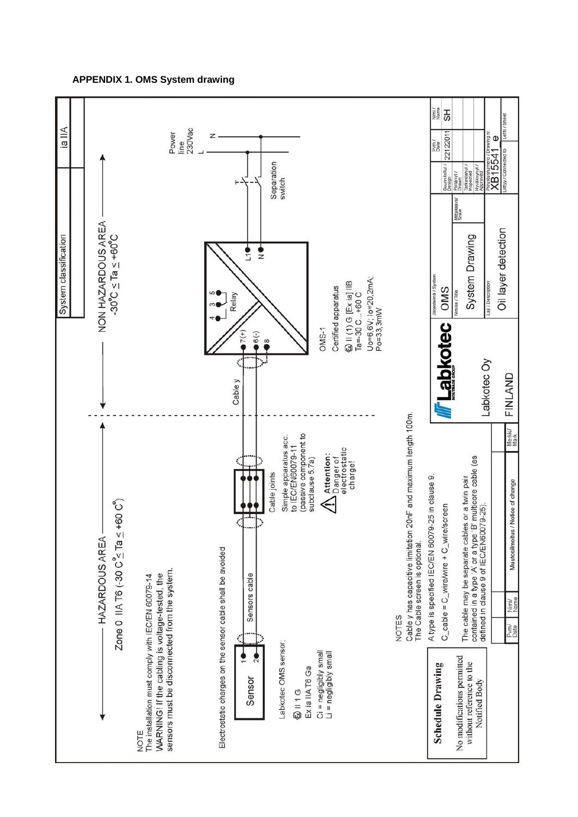#### **APPENDIX 1. OMS System drawing**